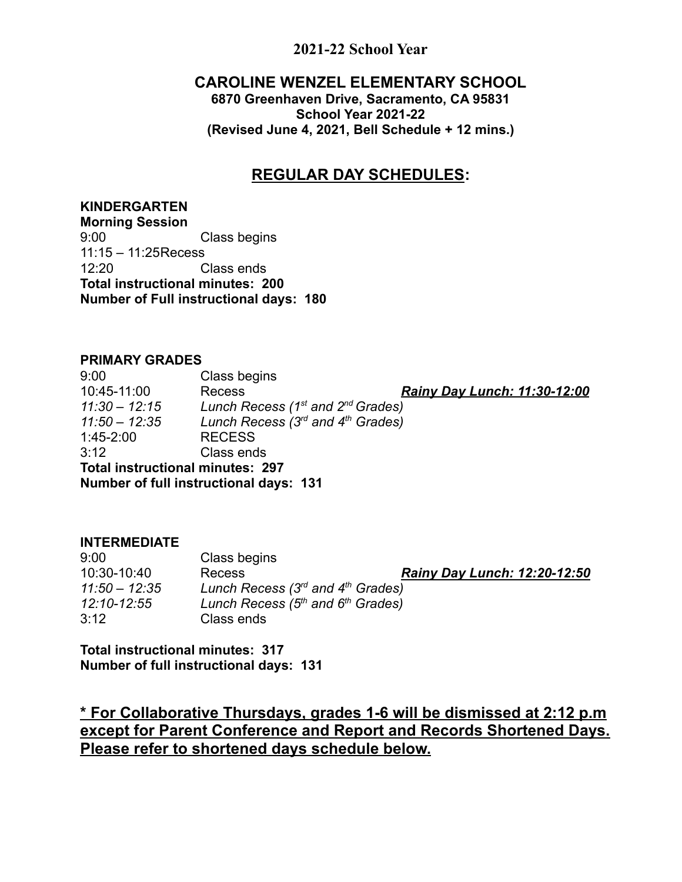# **2021-22 School Year**

# **CAROLINE WENZEL ELEMENTARY SCHOOL**

**6870 Greenhaven Drive, Sacramento, CA 95831 School Year 2021-22 (Revised June 4, 2021, Bell Schedule + 12 mins.)**

# **REGULAR DAY SCHEDULES:**

### **KINDERGARTEN**

**Morning Session** 9:00 Class begins 11:15 – 11:25Recess 12:20 Class ends **Total instructional minutes: 200 Number of Full instructional days: 180**

#### **PRIMARY GRADES**

9:00 Class begins 10:45-11:00 Recess *Rainy Day Lunch: 11:30-12:00 11:30 – 12:15 Lunch Recess (1st and 2nd Grades) 11:50 – 12:35 Lunch Recess (3rd and 4th Grades)* 1:45-2:00 RECESS 3:12 Class ends **Total instructional minutes: 297 Number of full instructional days: 131**

#### **INTERMEDIATE**

| 9:00            | Class begins                          |                                     |
|-----------------|---------------------------------------|-------------------------------------|
| 10:30-10:40     | Recess                                | <b>Rainy Day Lunch: 12:20-12:50</b> |
| $11:50 - 12:35$ | Lunch Recess $(3rd$ and $4th$ Grades) |                                     |
| 12:10-12:55     | Lunch Recess $(5th$ and $6th$ Grades) |                                     |
| 3:12            | Class ends                            |                                     |

**Total instructional minutes: 317 Number of full instructional days: 131**

**\* For Collaborative Thursdays, grades 1-6 will be dismissed at 2:12 p.m except for Parent Conference and Report and Records Shortened Days. Please refer to shortened days schedule below.**